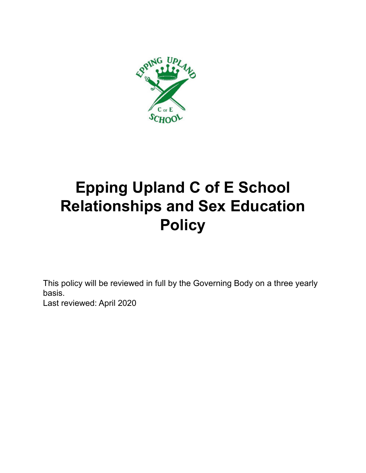

# **Epping Upland C of E School Relationships and Sex Education Policy**

This policy will be reviewed in full by the Governing Body on a three yearly basis. Last reviewed: April 2020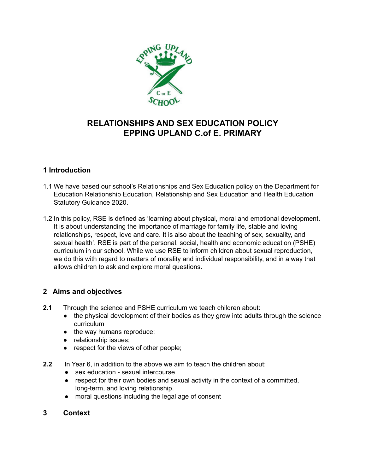

### **RELATIONSHIPS AND SEX EDUCATION POLICY EPPING UPLAND C.of E. PRIMARY**

#### **1 Introduction**

- 1.1 We have based our school's Relationships and Sex Education policy on the Department for Education Relationship Education, Relationship and Sex Education and Health Education Statutory Guidance 2020.
- 1.2 In this policy, RSE is defined as 'learning about physical, moral and emotional development. It is about understanding the importance of marriage for family life, stable and loving relationships, respect, love and care. It is also about the teaching of sex, sexuality, and sexual health'. RSE is part of the personal, social, health and economic education (PSHE) curriculum in our school. While we use RSE to inform children about sexual reproduction, we do this with regard to matters of morality and individual responsibility, and in a way that allows children to ask and explore moral questions.

#### **2 Aims and objectives**

- **2.1** Through the science and PSHE curriculum we teach children about:
	- the physical development of their bodies as they grow into adults through the science curriculum
	- the way humans reproduce;
	- relationship issues;
	- respect for the views of other people;
- **2.2** In Year 6, in addition to the above we aim to teach the children about:
	- sex education sexual intercourse
	- respect for their own bodies and sexual activity in the context of a committed, long-term, and loving relationship.
	- moral questions including the legal age of consent
- **3 Context**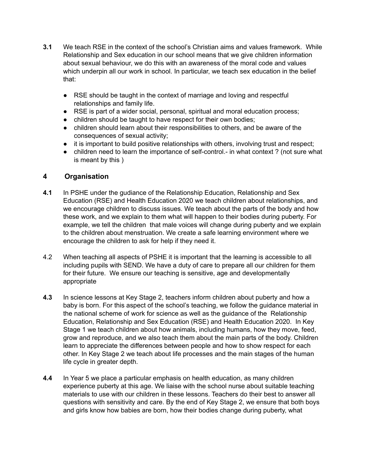- **3.1** We teach RSE in the context of the school's Christian aims and values framework. While Relationship and Sex education in our school means that we give children information about sexual behaviour, we do this with an awareness of the moral code and values which underpin all our work in school. In particular, we teach sex education in the belief that:
	- RSE should be taught in the context of marriage and loving and respectful relationships and family life.
	- RSE is part of a wider social, personal, spiritual and moral education process;
	- children should be taught to have respect for their own bodies;
	- children should learn about their responsibilities to others, and be aware of the consequences of sexual activity;
	- it is important to build positive relationships with others, involving trust and respect;
	- children need to learn the importance of self-control.- in what context ? (not sure what is meant by this )

#### **4 Organisation**

- **4.1** In PSHE under the gudiance of the Relationship Education, Relationship and Sex Education (RSE) and Health Education 2020 we teach children about relationships, and we encourage children to discuss issues. We teach about the parts of the body and how these work, and we explain to them what will happen to their bodies during puberty. For example, we tell the children that male voices will change during puberty and we explain to the children about menstruation. We create a safe learning environment where we encourage the children to ask for help if they need it.
- 4.2 When teaching all aspects of PSHE it is important that the learning is accessible to all including pupils with SEND. We have a duty of care to prepare all our children for them for their future. We ensure our teaching is sensitive, age and developmentally appropriate
- **4.3** In science lessons at Key Stage 2, teachers inform children about puberty and how a baby is born. For this aspect of the school's teaching, we follow the guidance material in the national scheme of work for science as well as the guidance of the Relationship Education, Relationship and Sex Education (RSE) and Health Education 2020. In Key Stage 1 we teach children about how animals, including humans, how they move, feed, grow and reproduce, and we also teach them about the main parts of the body. Children learn to appreciate the differences between people and how to show respect for each other. In Key Stage 2 we teach about life processes and the main stages of the human life cycle in greater depth.
- **4.4** In Year 5 we place a particular emphasis on health education, as many children experience puberty at this age. We liaise with the school nurse about suitable teaching materials to use with our children in these lessons. Teachers do their best to answer all questions with sensitivity and care. By the end of Key Stage 2, we ensure that both boys and girls know how babies are born, how their bodies change during puberty, what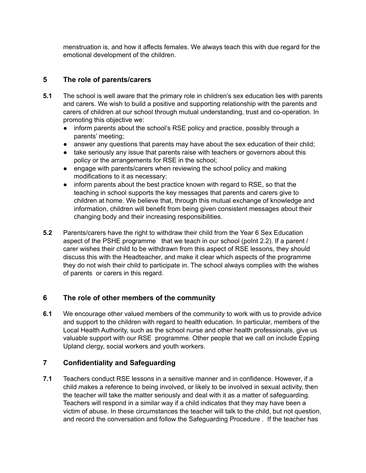menstruation is, and how it affects females. We always teach this with due regard for the emotional development of the children.

#### **5 The role of parents/carers**

- **5.1** The school is well aware that the primary role in children's sex education lies with parents and carers. We wish to build a positive and supporting relationship with the parents and carers of children at our school through mutual understanding, trust and co-operation. In promoting this objective we:
	- inform parents about the school's RSE policy and practice, possibly through a parents' meeting;
	- answer any questions that parents may have about the sex education of their child;
	- take seriously any issue that parents raise with teachers or governors about this policy or the arrangements for RSE in the school;
	- engage with parents/carers when reviewing the school policy and making modifications to it as necessary;
	- inform parents about the best practice known with regard to RSE, so that the teaching in school supports the key messages that parents and carers give to children at home. We believe that, through this mutual exchange of knowledge and information, children will benefit from being given consistent messages about their changing body and their increasing responsibilities.
- **5.2** Parents/carers have the right to withdraw their child from the Year 6 Sex Education aspect of the PSHE programme that we teach in our school (point 2.2). If a parent / carer wishes their child to be withdrawn from this aspect of RSE lessons, they should discuss this with the Headteacher, and make it clear which aspects of the programme they do not wish their child to participate in. The school always complies with the wishes of parents or carers in this regard.

#### **6 The role of other members of the community**

**6.1** We encourage other valued members of the community to work with us to provide advice and support to the children with regard to health education. In particular, members of the Local Health Authority, such as the school nurse and other health professionals, give us valuable support with our RSE programme. Other people that we call on include Epping Upland clergy, social workers and youth workers.

#### **7 Confidentiality and Safeguarding**

**7.1** Teachers conduct RSE lessons in a sensitive manner and in confidence. However, if a child makes a reference to being involved, or likely to be involved in sexual activity, then the teacher will take the matter seriously and deal with it as a matter of safeguarding. Teachers will respond in a similar way if a child indicates that they may have been a victim of abuse. In these circumstances the teacher will talk to the child, but not question, and record the conversation and follow the Safeguarding Procedure . If the teacher has